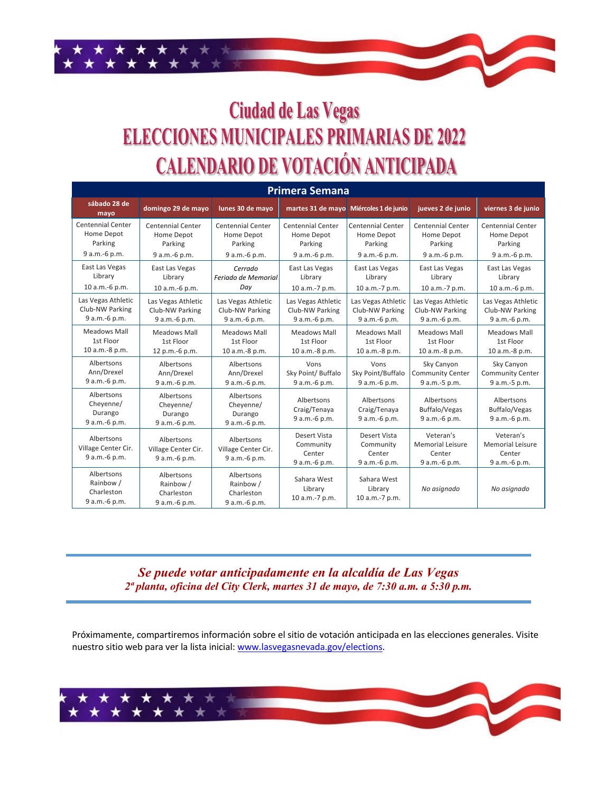## **Ciudad de Las Vegas ELECCIONES MUNICIPALES PRIMARIAS DE 2022 CALENDARIO DE VOTACIÓN ANTICIPADA**

| <b>Primera Semana</b>                                  |                                                        |                                                        |                                                      |                                                      |                                                                 |                                                                 |  |
|--------------------------------------------------------|--------------------------------------------------------|--------------------------------------------------------|------------------------------------------------------|------------------------------------------------------|-----------------------------------------------------------------|-----------------------------------------------------------------|--|
| sábado 28 de<br>mayo                                   | domingo 29 de mayo                                     | lunes 30 de mayo                                       |                                                      | martes 31 de mayo Miércoles 1 de junio               | jueves 2 de junio                                               | viernes 3 de junio                                              |  |
| <b>Centennial Center</b>                               | <b>Centennial Center</b>                               | <b>Centennial Center</b>                               | <b>Centennial Center</b>                             | <b>Centennial Center</b>                             | <b>Centennial Center</b>                                        | <b>Centennial Center</b>                                        |  |
| Home Depot                                             | Home Depot                                             | Home Depot                                             | Home Depot                                           | Home Depot                                           | Home Depot                                                      | Home Depot                                                      |  |
| Parking                                                | Parking                                                | Parking                                                | Parking                                              | Parking                                              | Parking                                                         | Parking                                                         |  |
| 9 a.m.-6 p.m.                                          | 9 a.m.-6 p.m.                                          | 9 a.m.-6 p.m.                                          | 9 a.m.-6 p.m.                                        | 9 a.m.-6 p.m.                                        | 9 a.m.-6 p.m.                                                   | 9 a.m.-6 p.m.                                                   |  |
| East Las Vegas                                         | East Las Vegas                                         | Cerrado                                                | East Las Vegas                                       | East Las Vegas                                       | East Las Vegas                                                  | East Las Vegas                                                  |  |
| Library                                                | Library                                                | Feriado de Memorial                                    | Library                                              | Library                                              | Library                                                         | Library                                                         |  |
| 10 a.m.-6 p.m.                                         | 10 a.m.-6 p.m.                                         | Day                                                    | 10 a.m.-7 p.m.                                       | 10 a.m.-7 p.m.                                       | 10 a.m.-7 p.m.                                                  | 10 a.m.-6 p.m.                                                  |  |
| Las Vegas Athletic                                     | Las Vegas Athletic                                     | Las Vegas Athletic                                     | Las Vegas Athletic                                   | Las Vegas Athletic                                   | Las Vegas Athletic                                              | Las Vegas Athletic                                              |  |
| Club-NW Parking                                        | Club-NW Parking                                        | Club-NW Parking                                        | Club-NW Parking                                      | Club-NW Parking                                      | Club-NW Parking                                                 | Club-NW Parking                                                 |  |
| 9 a.m.-6 p.m.                                          | 9 a.m.-6 p.m.                                          | 9 a.m.-6 p.m.                                          | 9 a.m.-6 p.m.                                        | 9 a.m.-6 p.m.                                        | 9 a.m.-6 p.m.                                                   | 9 a.m.-6 p.m.                                                   |  |
| <b>Meadows Mall</b>                                    | <b>Meadows Mall</b>                                    | Meadows Mall                                           | <b>Meadows Mall</b>                                  | <b>Meadows Mall</b>                                  | <b>Meadows Mall</b>                                             | <b>Meadows Mall</b>                                             |  |
| 1st Floor                                              | 1st Floor                                              | 1st Floor                                              | 1st Floor                                            | 1st Floor                                            | 1st Floor                                                       | 1st Floor                                                       |  |
| 10 a.m.-8 p.m.                                         | 12 p.m.-6 p.m.                                         | 10 a.m.-8 p.m.                                         | 10 a.m.-8 p.m.                                       | 10 a.m.-8 p.m.                                       | 10 a.m.-8 p.m.                                                  | 10 a.m.-8 p.m.                                                  |  |
| Albertsons                                             | Albertsons                                             | Albertsons                                             | Vons                                                 | Vons                                                 | Sky Canyon                                                      | Sky Canyon                                                      |  |
| Ann/Drexel                                             | Ann/Drexel                                             | Ann/Drexel                                             | Sky Point/ Buffalo                                   | Sky Point/Buffalo                                    | <b>Community Center</b>                                         | <b>Community Center</b>                                         |  |
| 9 a.m.-6 p.m.                                          | 9 a.m.-6 p.m.                                          | 9 a.m.-6 p.m.                                          | 9 a.m.-6 p.m.                                        | 9 a.m.-6 p.m.                                        | 9 a.m.-5 p.m.                                                   | 9 a.m.-5 p.m.                                                   |  |
| Albertsons<br>Cheyenne/<br>Durango<br>9 a.m.-6 p.m.    | Albertsons<br>Cheyenne/<br>Durango<br>9 a.m.-6 p.m.    | Albertsons<br>Cheyenne/<br>Durango<br>9 a.m.-6 p.m.    | Albertsons<br>Craig/Tenaya<br>9 a.m.-6 p.m.          | Albertsons<br>Craig/Tenaya<br>9 a.m.-6 p.m.          | Albertsons<br>Buffalo/Vegas<br>9 a.m.-6 p.m.                    | Albertsons<br>Buffalo/Vegas<br>9 a.m.-6 p.m.                    |  |
| Albertsons<br>Village Center Cir.<br>9 a.m.-6 p.m.     | Albertsons<br>Village Center Cir.<br>9 a.m.-6 p.m.     | Albertsons<br>Village Center Cir.<br>9 a.m.-6 p.m.     | Desert Vista<br>Community<br>Center<br>9 a.m.-6 p.m. | Desert Vista<br>Community<br>Center<br>9 a.m.-6 p.m. | Veteran's<br><b>Memorial Leisure</b><br>Center<br>9 a.m.-6 p.m. | Veteran's<br><b>Memorial Leisure</b><br>Center<br>9 a.m.-6 p.m. |  |
| Albertsons<br>Rainbow /<br>Charleston<br>9 a.m.-6 p.m. | Albertsons<br>Rainbow /<br>Charleston<br>9 a.m.-6 p.m. | Albertsons<br>Rainbow /<br>Charleston<br>9 a.m.-6 p.m. | Sahara West<br>Library<br>10 a.m.-7 p.m.             | Sahara West<br>Library<br>10 a.m.-7 p.m.             | No asignado                                                     | No asignado                                                     |  |

*Se puede votar anticipadamente en la alcaldía de Las Vegas 2ª planta, oficina del City Clerk, martes 31 de mayo, de 7:30 a.m. a 5:30 p.m.*

Próximamente, compartiremos información sobre el sitio de votación anticipada en las elecciones generales. Visite nuestro sitio web para ver la lista inicial: www.lasvegasnevada.gov/elections.